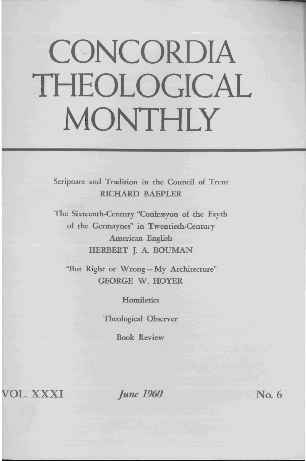# **CONCORDIA THEOLOGICAL MONTHLY**

Scripture and Tradition in the Council of Trent RICHARD BAEPLER

The Sixteenth-Century "Confessyon of the Fayth of the Germaynes" in Twentieth-Century American English HERBERT J. A. BOUMAN

"But Right or Wrong-My Architecture" GEORGE W. HOYER

**Homiletics** 

Theological Observer

Book Review

*WOL.* XXXI

*June 1960* No. 6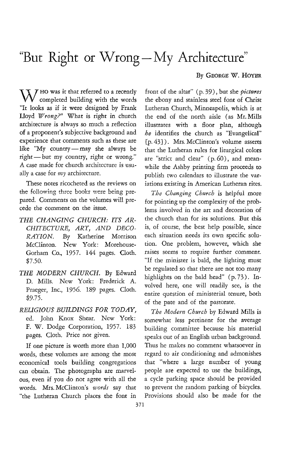## "But Right or Wrong-My Architecture"

#### By GEORGE W. HOYER

 $\chi \chi$  / HO was it that referred to a recently  $\forall$   $\forall$  completed building with the words "It looks as if it were designed by Frank Lloyd *Wrong?"* What is right in church architecture is always so much a reflection of a proponent's subjective background and experience that comments such as these are like "My country-may she always be right- but my country, right or wrong." A case made for church architecture is usually a case for  $m\gamma$  architecture.

These notes ricocheted as the reviews on the following three books were being prepared. Comments on the volumes will precede the comment on the issue.

- *THE CHANGING CHURCH: ITS AR-CHITECTURE, ART, AND DECO-RATION.* By Katherine Morrison McClinton. New York: Morehouse-Gorham Co., 1957. 144 pages. Cloth. \$7.50.
- *THE MODERN CHURCH.* By Edward D. Mills. New York: Frederick A. Praeger, Inc., 1956. 189 pages. Cloth. \$9.75.

### *RELIGIOUS BUILDINGS FOR TODAY,*  ed. John Knox Shear. New York: F. W. Dodge Corporation, 1957. 183 pages. Cloth. Price not given.

If one picture is worth more than 1,000 words, these volumes are among the most economical tools building congregations can obtain. The photographs are marvelous, even if you do not agree with all the words. Mrs. McClinton's *words* say that "the Lutheran Church places the font in

front of the altar" (p. 39), but she *pictures*  the ebony and stainless steel font of Christ Lutheran Church, Minneapolis, which is at the end of the north aisle (as Mr. Mills illustrates with a floor plan, although *he* identifies the church as "Evangelical" {p.43} ). Mrs. McClin ton's volume asserts that the Lutheran rules for liturgical colors are "strict and dear" (p. 60), and meanwhile the Ashby printing firm proceeds to publish two calendars to illustrate the variations existing in American Lutheran rites.

*The Changing Church* is helpful more for pointing up the complexity of the problems involved in the art and decoration of the church than for its solutions. But this is, of course, the best help possible, since each situation needs its own specific solution. One problem, however, which she raises seems to require further comment. "If the minister is bald, the lighting must be regulated so that there are not too many highlights on the bald head" (p. 73). Involved here, one will readily see, is the entire question of ministerial tenure, both of the pate and of the pastorate.

*The Modern Church* by Edward Mills is somewhat less pertinent for the average building committee because his material speaks our of an English urban background. Thus he makes no comment whatsoever in regard to air conditioning and admonishes that "where a large number of young people are expected to use the buildings, a cycle parking space should be provided to prevent the random parking of bicycles. Provisions should also be made for the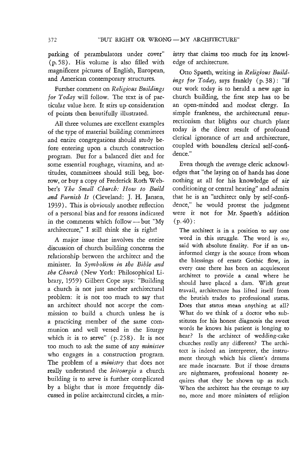parking of perambulators under cover" (p. 58) . His volume is also filled with magnificent pictures of English, European, and American contemporary structures.

Further comment on *Religious Buildings for Today* will follow. The text is of particular value here. It stirs up consideration of points then beautifully illustrated.

All three volumes are excellent examples of the type of material building committees and entire congregations should study before entering upon a church construction program. But for a balanced diet and for some essential roughage, vitamins, and attitudes, committees should still beg, borrow, or buy a copy of Frederick Roth Webber's *The Small Church: How to Build and Furnish It* (Cleveland: J. H. Jansen, 1939). This is obviously another reflection of a personal bias and for reasons indicated in the comments which follow- but "My architecture," I still think she is right!

A major issue that involves the entire discussion of church building concerns the relationship between the architect and the minister. In *Symbolism in the Bible and the Church* (New York: Philosophical Library, 1959) Gilbert Cope says: "Building a church is not just another architectural problem: it *is* not too much to say that an architect should not accept the commission to build a church unless he is a practicing member of the same communion and well versed in the liturgy which it is to serve" (p. 258). It is not too much to ask the same of any *minister*  who engages in a construction program. The problem of a *ministry* that does not really understand the *leitourgia* a church building is to serve is further complicated by a blight that is more frequently discussed in polite architectural circles, a min-

istry that claims too much for its knowledge of architecture.

Otto Spaeth, writing in *Religious Buildings for Today,* says frankly (p. 38): "If our work today is to herald a new age in church building, the first step has to be an open-minded and modest clergy. In simple frankness, the architectural resurrectionism that blights our church plant today is the direct result of profound clerical ignorance of art and architecture, coupled with boundless clerical self-confidence."

Even though the average cleric acknowledges that "the laying on of hands has done nothing at all for his knowledge of air conditioning or central heating" and admits that he is an "architect only by self-confidence," he would protest the judgment were it not for Mr. Spaeth's addition  $(p.40)$ :

The architect is in a position to say one word in this struggle. The word is *no,*  said with absolute finality. For if an uninformed clergy is the source from whom the blessings of ersatz Gothic flow, in every case there has been an acquiescent architect to provide a canal where he should have placed a dam. With great travail, architecture has lifted itself from the brutish trades to professional status. Does that status mean anything at all? What do we think of a doctor who substitutes for his honest diagnosis the sweet words he knows his patient is longing to hear? Is the architect of wedding-cake churches really any different? The architect is indeed an interpreter, the instrument through which his client's dreams are made incarnate. But if those dreams are nightmares, professional honesty requires that they be shown up as such. When the architect has the courage to say no, more and more ministers of religion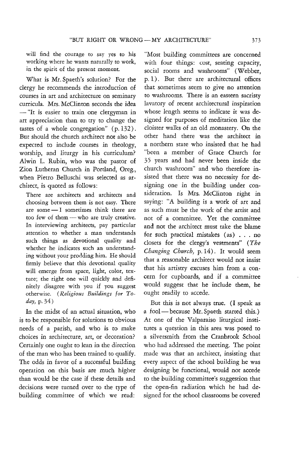will find the courage to say yes to his working where he wants naturally to work, in the spirit of the present moment.

What is Mr. Spaeth's solution? For the clergy he recommends the introduction of courses in art and architecture on seminary curricula. Mrs. McClinton seconds the idea - "It is easier to train one clergyman in art appreciation than to try to change the tastes of a whole congregation" (p. 132). But should the church architect not also be expected to include courses in theology, worship, and liturgy in his curriculum? Alwin L. Rubin, who was the pastor of Zion Lutheran Church in Portland, Oreg., when Pietro Belluschi was selected as architect, is quoted as follows:

There are architects and architects and choosing between them is not easy. There are some $-1$  sometimes think there are too few of them - who are truly creative. In interviewing architects, pay particular attention to whether a man understands such things as devotional quality and whether he indicates such an understanding without your prodding him. He should firmly believe that this devotional quality will emerge from space, light, color, texture; the right one will quickly and definitely disagree with you if you suggest otherwise. *(Religious Buildings for Today,* p. 34)

In the midst of an actual situation, who is to be responsible for solutions to obvious needs of a parish, and who is to make choices in architecture, art, or decoration? Certainly one ought to lean in the direction of the man who has been trained to qualify. The odds in favor of a successful building operation on this basis are much higher than would be the case if these details and decisions were turned over to the type of building committee of which we read:

"Most building committees are concerned with four things: cost, seating capacity, social rooms and washrooms" (Webber, p. 1). But there are architectural offices that sometimes seem to give no attention to washrooms. There is an eastern sacristy lavatory of recent architectural inspiration whose length seems to indicate it was designed for purposes of meditation like the cloister walks of an old monastery. On the other hand there was the architect in a northern state who insisted that he had "been a member of Grace Church for 35 years and had never been inside the church washroom" and who therefore insisted that there was no necessity for designing one in the building under consideration. Is Mrs. McClinton right in saying: "A building is a work of art and as such must be the work of the artist and not of a committee. Yet the committee and not the architect must take the blame for such practical mistakes  $(as)$ ... no closets for the clergy's vestments" *(The Changing Church,* p. 14). It would seem that a reasonable architect would not insist that his artistry excuses him from a concern for cupboards, and if a committee would suggest that he include them, he ought readily to accede.

But this is not always true. (I speak as a fool-because Mr. Spaeth started this.) At one of the Valparaiso liturgical institutes a question in this area was posed to a silversmith from the Cranbrook School who had addressed the meeting. The point made was that an architect, insisting that every aspect of the school building he was designing be functional, would not accede to the building committee's suggestion that the open-fin radiation which he had designed for the school classrooms be covered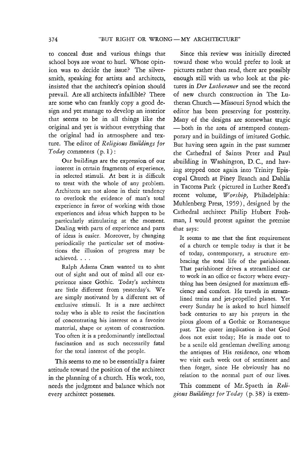to conceal dust and various things that school boys are wont to hurl. Whose opinion was to decide the issue? The silversmith, speaking for artists and architects, insisted that the architect's opinion should prevail. Are all architects infallible? There are some who can frankly copy a good design and yet manage to develop an interior that seems to be in all things like the original and yet is without everything that the original had in atmosphere and texture. The editor of *Religious Buildings for Today* comments (p. 1) :

Our buildings are the expression of our interest in certain fragments of experience, in selected stimuli. At best it is difficult to treat with the whole of any problem. Architects are not alone in their tendency to overlook the evidence of man's total experience in favor of working with those experiences and ideas which happen to be particularly stimulating at the moment. Dealing with parts of experience and parts of ideas is easier. Moreover, by changing periodically the particular set of motivations the illusion of progress may be achieved. . . .

Ralph Adams Cram wanted us to shut out of sight and out of mind all our experience since Gothic. Today's architects are little different from yesterday's. We are simply motivated by a different set of exclusive stimuli. It is a rare architect today who is able to resist the fascination of concentrating his interest on a favorite material, shape or system of construction. Too often it is a predominantly intellectual fascination and as such necessarily fatal for the total interest of the people.

This seems to me to be essentially a fairer attitude toward the position of the architect in the planning of a church. His work, too, needs the judgment and balance which not every architect possesses.

Since this review was initially directed toward those who would prefer to look at pictures rather than read, there are possibly enough still with us who look at the pictures in *Der Lutheraner* and see the record of new church construction in The Lutheran Church - Missouri Synod which the editor has been preserving for posterity. Many of the designs are somewhat tragic - both in the area of attempted contemporary and in buildings of imitated Gothic. But having seen again in the past summer the Cathedral of Saints Peter and Paul abuilding in Washington, D. c., and having stepped once again into Trinity Episcopal Church at Piney Branch and Dahlia in Tacoma Park (pictured in Luther Reed's recent volume, Worship, Philadelphia: Muhlenberg Press, 1959), designed by the Cathedral architect Philip Hubert Frohman, I would protest against the premise that says:

It seems to me that the first requirement of a church or temple today is that it be of today, contemporary, a structure embracing the total life of the parishioner. That parishioner drives a streamlined car to work in an office or factory where everything has been designed for maximum efficiency and comfort. He travels in streamlined trains and jet-propelled planes. Yet every Sunday he is asked to hurl himself back centuries to say his prayers in the pious gloom of a Gothic or Romanesque past. The queer implication is that God does not exist today; He is made out to be a senile old gentleman dwelling among the antiques of His residence, one whom we visit each week out of sentiment and then forget, since He obviously has no relation to the normal part of our lives.

This comment of Mr. Spaeth in *Reli*gious Buildings for Today (p. 38) is exem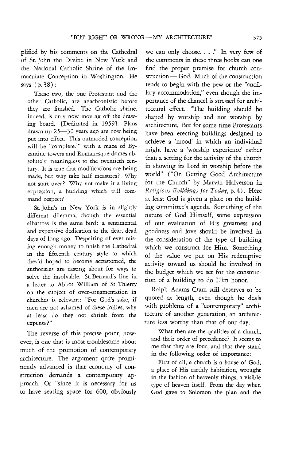plified by his comments on the Cathedral of St. John the Divine in New York and the National Catholic Shrine of the Immaculate Conception in Washington. He says (p. 38) :

These two, the one Protestant and the other Catholic, are anachronistic before they are finished. The Catholic shrine, indeed, is only now moving off the drawing board. [Dedicated in 1959}. Plans drawn up 25-30 years ago are now being put into effect. This outmoded conception will be "completed" with a maze of Byzantine towers and Romanesque domes absolutely meaningless to the twentieth century. It is true that modifications are being made, but why take half measures? Why not start over? Why not make it a living expression, a building which will command respect?

St. John's in New York is in slightly different dilemma, though the essential albatross is the same bird: a sentimental and expensive dedication to the dear, dead days of long ago. Despairing of ever raising enough money to finish the Cathedral in the fifteenth century style to which they'd hoped to become accustomed, the authorities are casting about for ways to solve the insolvable. St. Bernard's line in a letter to Abbot William of St. Thierry on the subject of over-ornamentation in churches is relevant: "For God's sake, if men are not ashamed of these follies, why at least do they not shrink from the expense?"

The reverse of this precise point, however, is one that is most troublesome about much of the promotion of contemporary architecture. The argument quite prominently advanced is that economy of construction demands a contemporary approach. Or "since it is necessary for us to have seating space for 600, obviously

we can only choose. . . ." In very few of the comments in these three books can one find the proper premise for church construction - God. Much of the construction tends to begin with the pew or the "ancillary accommodation," even though the importance of the chancel is stressed for architectural effect. "The building should be shaped by worship and not worship by architecture. But for some time Protestants have been erecting buildings designed to achieve a 'mood' in which an individual might have a 'worship experience' rather than a setting for the activity of the church in showing its Lord in worship before the world" ("On Getting Good Architecture for the Church" by Marvin Halverson in *Ruligio* ~ *tildings to;, Today,* p. 4). Here at least God is given a place on the building committee's agenda. Something of the nature of God Himself, some expression of our evaluation of His greatness and goodness and love should be involved in the consideration of the type of building which we construct for Him. Something of the value we put on His redemptive activity toward us should be involved in the budget which we set for the construction of a building to do Him honor.

Ralph Adams Cram still deserves to be quoted at length, even though he deals with problems of a "contemporary" architecture of another generation, an architecture less worthy than that of our day.

What then are the qualities of a church, and their order of precedence? It seems to me that they are four, and that they stand in the following order of importance:

First of all, a church is a house of God, a place of His earthly habitation, wrought in the fashion of heavenly things, a visible type of heaven itself. From the day when God gave to Solomon the plan and the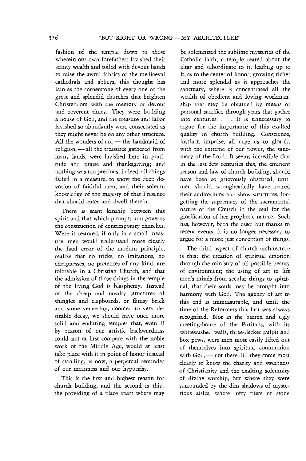fashion of the temple down to those wherein our own forefathers lavished their scanty wealth and toiled with devout hands to raise the awful fabrics of the mediaeval cathedrals and abbeys, this thought has lain as the cornerstone of every one of the great and splendid churches that brighten Christendom with the memory of devout and reverent times. They were building a house of God, and the treasure and labor lavished so abundantly were consecrated as they might never be on any other structure. All the wonders of  $art$ ,  $-$  the handmaid of religion, - all the treasures gathered from many lands, were lavished here in gratitude and praise and thanksgiving; and nothing was too precious, indeed, all things failed in a measure, to show the deep devotion of faithful men, and their solemn knowledge of the majesty of that Presence that should enter and dwell therein.

There is scant kinship between this spirit and that which prompts and governs the construction of contemporary churches. Were it restored, if only in a small measure, men would understand more clearly the fatal error of the modern principle, realize that no tricks, no imitations, no cheapnesses, no pretences of any kind, are tolerable in a Christian Church, and that the admission of those things in the temple of the living God is blasphemy. Instead of the cheap and tawdry structures of shingles and clapboards, or flimsy brick and stone veneering, doomed to very desirable decay, we should have once more solid and enduring temples that, even if by reason of our artistic backwardness could not at first compare with the noble work of the Middle Age, would at least take place with it in point of honor instead of standing, as now, a perpetual reminder of our meanness and our hypocrisy.

This is the first and highest reason for church building, and the second is this: the providing of a place apart where may

be solemnized the sublime mysteries of the Catholic faith; a temple reared about the altar and subordinate to it, leading up to it, as to the center of honor, growing richer and more splendid as it approaches the sanctuary, where is concentrated all the wealth of obedient and loving workmanship that may be obtained by means of personal sacrifice through years that gather into centuries. . . . It is unnecessary to argue for the importance of this exalted quality in church building. Conscience, instinct, impulse, all urge us to glorify, with the extreme of our power, the sanctuary of the Lord. It seems incredible that in the last few centuries this, the eminent reason and law of church building, should have been so grievously obscured, until men should wrongheadedly have reared their auditoriums and show structures, forgetting the supremacy of the sacramental nature of the Church in the zeal for the glorification of her prophetic nature. Such has, however, been the case; but thanks to recent events, it is no longer necessary to argue for a more just conception of things.

The third aspect of church architecture is this: the creation of spiritual emotion through the ministry of all possible beauty of environment; the using of art to lift men's minds from secular things to spiritual, that their souls may be brought into harmony with God. The agency of art to this end is immeasurable, and until the time of the Reformers this fact was always recognized. Not in the barren and ugly meeting-house of the Puritans, with its whitewashed walls, three-decker pulpit and box pews, were men most easily lifted out of themselves into spiritual communion with God, — not there did they come most clearly to know the charity and sweetness of Christianity and the exalting solemnity of divine worship, but where they were surrounded by the dim shadows of mysterious aisles, where lofty piers of stone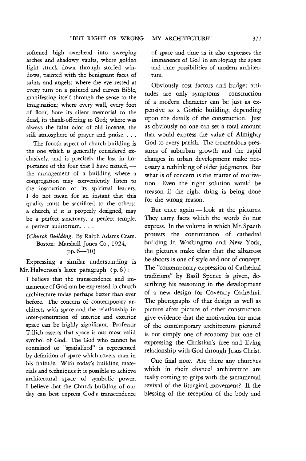softened high overhead into sweeping arches and shadowy vaults, where golden light struck down through storied windows, painted with the benignant faces of saints and angels; where the eye rested at every turn on a painted and carven Bible, manifesting itself through the sense to the imagination; where every wall, every foot of floor, bore its silent memorial to the dead, its thank-offering to God; where was always the faint odor of old incense, the still atmosphere of prayer and praise. . . .

The fourth aspect of church building is the one which is generally considered exclusively, and *is* precisely the last in importance of the four that I have named,the arrangement of a building where a congregation may conveniently listen to the instruction of its spiritual leaders. I do not mean for an instant that this quality must be sacrificed to the others: a church, if it is properly designed, may be a perfect sanctuary, a perfect temple, a perfect auditorium. . . .

#### *[Church Building.* By Ralph Adams Cram. Boston: Marshall Jones Co., 1924, pp.  $6-10$ ]

Expressing a similar understanding is Mr. Halverson's later paragraph (p. 6) :

I believe that the transcendence and immanence of God can be expressed in church architecture today perhaps better than ever before. The concern of contemporary architects with space and the relationship in inter-penetration of interior and exterior space can be highly significant. Professor Tillich asserts that space is our most valid symbol of God. The God who cannot be contained or "spatialized" is represented by definition of space which covers man in his finitude. With today's building materials and techniques it is possible to achieve architectural space of symbolic power. I believe that the Church building of our day can best express God's transcendence of space and time as it also expresses the immanence of God in employing the space and time possibilities of modern architecture.

Obviously cost factors and budget atti· tudes are only symptoms - construction of a modern character can be just as expensive as a Gothic building, depending upon the details of the construction. Just as obviously no one can set a total amount that would express the value of Almighty God to every parish. The tremendous pressures of suburban growth and the rapid changes in urban development make necessary a rethinking of older judgments. But what is of concern is the matter of motivation. Even the right solution would be treason if the right thing is being done for the wrong reason.

But once again  $-\text{look}$  at the pictures. They carry facts which the words do not express. In the volume in which Mr. Spaeth protests the continuation of cathedral building in Washington and New York, the pictures make clear that the albatross he shoots is one of style and not of concept. The "contemporary expression of Cathedral traditions" by Basil Spence is given, describing his reasoning in the development of a new design for Coventry Cathedral. The photographs of that design as well as picture after picture of other construction give evidence that the motivation for most of the contemporary architecture pictured is not simply one of economy but one of expressing the Christian's free and living relationship with God through Jesus Christ.

One final note. Are there any churches which in their chancel architecture are really coming to grips with the sacramental revival of the liturgical movement? If the blessing of the reception of the body and